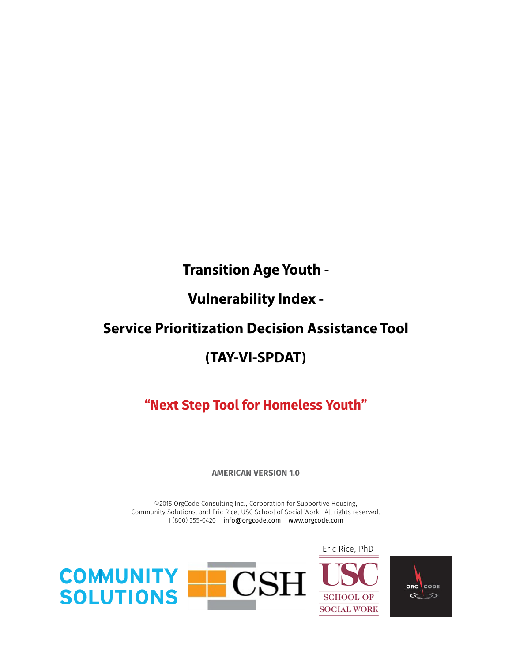# **Transition Age Youth -**

# **Vulnerability Index -**

# **Service Prioritization Decision Assistance Tool**

# **(TAY-VI-SPDAT)**

# **"Next Step Tool for Homeless Youth"**

**AMERICAN VERSION 1.0**

©2015 OrgCode Consulting Inc., Corporation for Supportive Housing, Community Solutions, and Eric Rice, USC School of Social Work. All rights reserved. 1 (800) 355-0420 info@orgcode.com www.orgcode.com



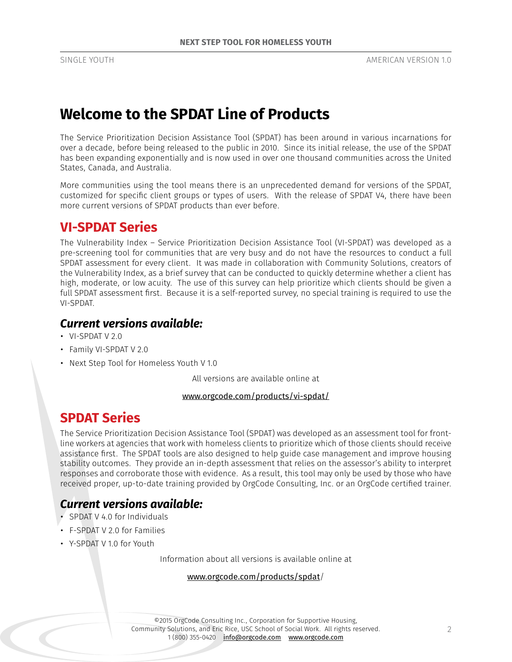# **Welcome to the SPDAT Line of Products**

The Service Prioritization Decision Assistance Tool (SPDAT) has been around in various incarnations for over a decade, before being released to the public in 2010. Since its initial release, the use of the SPDAT has been expanding exponentially and is now used in over one thousand communities across the United States, Canada, and Australia.

More communities using the tool means there is an unprecedented demand for versions of the SPDAT, customized for specific client groups or types of users. With the release of SPDAT V4, there have been more current versions of SPDAT products than ever before.

## **VI-SPDAT Series**

The Vulnerability Index – Service Prioritization Decision Assistance Tool (VI-SPDAT) was developed as a pre-screening tool for communities that are very busy and do not have the resources to conduct a full SPDAT assessment for every client. It was made in collaboration with Community Solutions, creators of the Vulnerability Index, as a brief survey that can be conducted to quickly determine whether a client has high, moderate, or low acuity. The use of this survey can help prioritize which clients should be given a full SPDAT assessment first. Because it is a self-reported survey, no special training is required to use the VI-SPDAT.

## *Current versions available:*

- VI-SPDAT V 2.0
- Family VI-SPDAT V 2.0
- Next Step Tool for Homeless Youth V 1.0

All versions are available online at

## www.orgcode.com/products/vi-spdat/

## **SPDAT Series**

The Service Prioritization Decision Assistance Tool (SPDAT) was developed as an assessment tool for frontline workers at agencies that work with homeless clients to prioritize which of those clients should receive assistance first. The SPDAT tools are also designed to help guide case management and improve housing stability outcomes. They provide an in-depth assessment that relies on the assessor's ability to interpret responses and corroborate those with evidence. As a result, this tool may only be used by those who have received proper, up-to-date training provided by OrgCode Consulting, Inc. or an OrgCode certified trainer.

## *Current versions available:*

- SPDAT V 4.0 for Individuals
- F-SPDAT V 2.0 for Families
- Y-SPDAT V 1.0 for Youth

Information about all versions is available online at

## www.orgcode.com/products/spdat/

©2015 OrgCode Consulting Inc., Corporation for Supportive Housing, Community Solutions, and Eric Rice, USC School of Social Work. All rights reserved. 1 (800) 355-0420 info@orgcode.com www.orgcode.com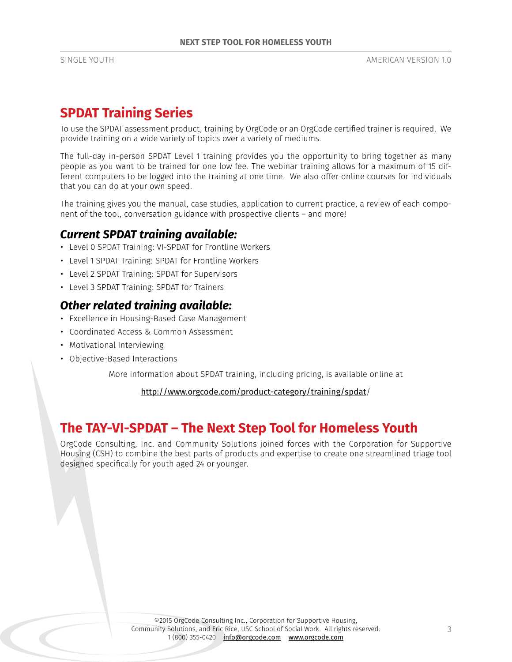## **SPDAT Training Series**

To use the SPDAT assessment product, training by OrgCode or an OrgCode certified trainer is required. We provide training on a wide variety of topics over a variety of mediums.

The full-day in-person SPDAT Level 1 training provides you the opportunity to bring together as many people as you want to be trained for one low fee. The webinar training allows for a maximum of 15 different computers to be logged into the training at one time. We also offer online courses for individuals that you can do at your own speed.

The training gives you the manual, case studies, application to current practice, a review of each component of the tool, conversation guidance with prospective clients – and more!

## *Current SPDAT training available:*

- Level 0 SPDAT Training: VI-SPDAT for Frontline Workers
- Level 1 SPDAT Training: SPDAT for Frontline Workers
- Level 2 SPDAT Training: SPDAT for Supervisors
- Level 3 SPDAT Training: SPDAT for Trainers

## *Other related training available:*

- Excellence in Housing-Based Case Management
- Coordinated Access & Common Assessment
- Motivational Interviewing
- Objective-Based Interactions

More information about SPDAT training, including pricing, is available online at

## http://www.orgcode.com/product-category/training/spdat/

## **The TAY-VI-SPDAT – The Next Step Tool for Homeless Youth**

OrgCode Consulting, Inc. and Community Solutions joined forces with the Corporation for Supportive Housing (CSH) to combine the best parts of products and expertise to create one streamlined triage tool designed specifically for youth aged 24 or younger.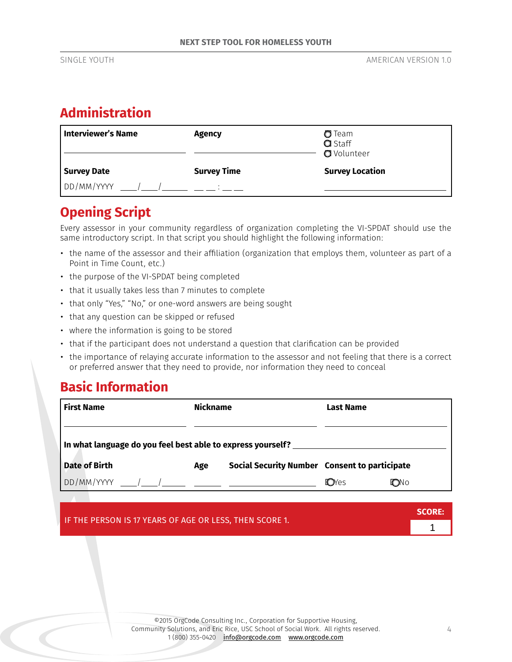# **Administration**

| <b>Interviewer's Name</b> | <b>Agency</b>      | $\sigma$ Team<br><b>Q</b> Staff<br><b>O</b> Volunteer |
|---------------------------|--------------------|-------------------------------------------------------|
| <b>Survey Date</b>        | <b>Survey Time</b> | <b>Survey Location</b>                                |
| DD/MM/YYYY                |                    |                                                       |

## **Opening Script**

Every assessor in your community regardless of organization completing the VI-SPDAT should use the same introductory script. In that script you should highlight the following information:

- the name of the assessor and their affiliation (organization that employs them, volunteer as part of a Point in Time Count, etc.)
- the purpose of the VI-SPDAT being completed
- that it usually takes less than 7 minutes to complete
- that only "Yes," "No," or one-word answers are being sought
- that any question can be skipped or refused
- where the information is going to be stored
- that if the participant does not understand a question that clarification can be provided
- the importance of relaying accurate information to the assessor and not feeling that there is a correct or preferred answer that they need to provide, nor information they need to conceal

## **Basic Information**

| <b>First Name</b>                                           | <b>Nickname</b> |                                               | Last Name     |            |
|-------------------------------------------------------------|-----------------|-----------------------------------------------|---------------|------------|
|                                                             |                 |                                               |               |            |
| In what language do you feel best able to express yourself? |                 |                                               |               |            |
| <b>Date of Birth</b>                                        | Age             | Social Security Number Consent to participate |               |            |
| $DD/MM/YYYY$ $/$                                            |                 |                                               | <b>TO</b> Yes | <b>DNO</b> |

| IF THE PERSON IS 17 YEARS OF AGE OR LESS, THEN SCORE 1. | SCORE: |
|---------------------------------------------------------|--------|
|                                                         |        |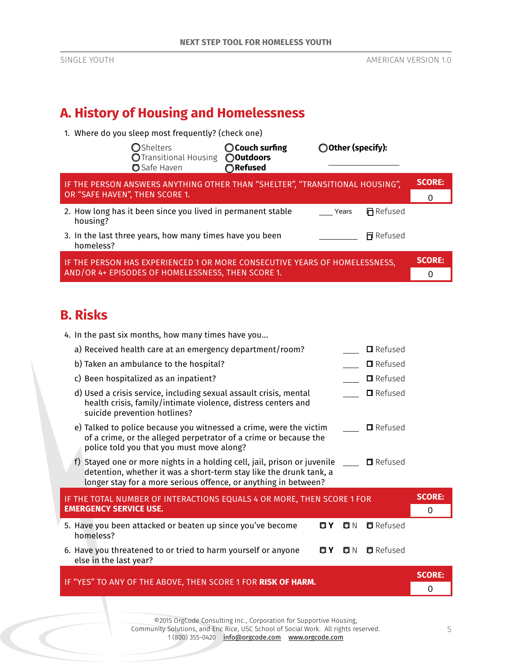# **A. History of Housing and Homelessness**

1. Where do you sleep most frequently? (check one)

|           | <b>O</b> Shelters<br>O Transitional Housing<br><b>O</b> Safe Haven           | $\bigcirc$ Couch surfing<br><b>O</b> Outdoors<br>○Refused | ◯ Other (specify): |                  |               |
|-----------|------------------------------------------------------------------------------|-----------------------------------------------------------|--------------------|------------------|---------------|
|           | IF THE PERSON ANSWERS ANYTHING OTHER THAN "SHELTER", "TRANSITIONAL HOUSING", |                                                           |                    |                  | <b>SCORE:</b> |
|           | OR "SAFE HAVEN", THEN SCORE 1.                                               |                                                           |                    |                  |               |
| housing?  | 2. How long has it been since you lived in permanent stable                  |                                                           | Years              | <b>日</b> Refused |               |
| homeless? | 3. In the last three years, how many times have you been                     |                                                           |                    | <b>同</b> Refused |               |
|           | IF THE PERSON HAS EXPERIENCED 1 OR MORE CONSECUTIVE YEARS OF HOMELESSNESS,   |                                                           |                    |                  | <b>SCORE:</b> |
|           | AND/OR 4+ EPISODES OF HOMELESSNESS, THEN SCORE 1.                            |                                                           |                    |                  |               |

# **B. Risks**

| 4. In the past six months, how many times have you                                                                                                                                                                                      |               |  |  |  |  |
|-----------------------------------------------------------------------------------------------------------------------------------------------------------------------------------------------------------------------------------------|---------------|--|--|--|--|
| a) Received health care at an emergency department/room?<br>$\Box$ Refused                                                                                                                                                              |               |  |  |  |  |
| b) Taken an ambulance to the hospital?<br>$\Box$ Refused                                                                                                                                                                                |               |  |  |  |  |
| c) Been hospitalized as an inpatient?<br>$\Box$ Refused                                                                                                                                                                                 |               |  |  |  |  |
| d) Used a crisis service, including sexual assault crisis, mental<br>$\Box$ Refused<br>health crisis, family/intimate violence, distress centers and<br>suicide prevention hotlines?                                                    |               |  |  |  |  |
| e) Talked to police because you witnessed a crime, were the victim<br>$\Box$ Refused<br>of a crime, or the alleged perpetrator of a crime or because the<br>police told you that you must move along?                                   |               |  |  |  |  |
| f) Stayed one or more nights in a holding cell, jail, prison or juvenile $\Box$ $\Box$ Refused<br>detention, whether it was a short-term stay like the drunk tank, a<br>longer stay for a more serious offence, or anything in between? |               |  |  |  |  |
| IF THE TOTAL NUMBER OF INTERACTIONS EQUALS 4 OR MORE, THEN SCORE 1 FOR                                                                                                                                                                  | <b>SCORE:</b> |  |  |  |  |
| <b>EMERGENCY SERVICE USE.</b>                                                                                                                                                                                                           | O             |  |  |  |  |
| 5. Have you been attacked or beaten up since you've become<br><b>Q</b> Refused<br>O Y<br>O N<br>homeless?                                                                                                                               |               |  |  |  |  |
| 6. Have you threatened to or tried to harm yourself or anyone<br><b>O</b> Refused<br>O Y<br>ON.<br>else in the last year?                                                                                                               |               |  |  |  |  |
|                                                                                                                                                                                                                                         | <b>SCORE:</b> |  |  |  |  |
| IF "YES" TO ANY OF THE ABOVE, THEN SCORE 1 FOR RISK OF HARM.                                                                                                                                                                            | 0             |  |  |  |  |

H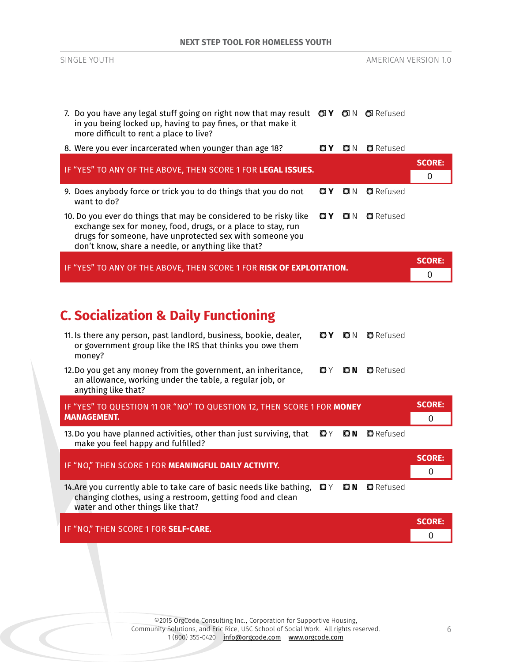| 7. Do you have any legal stuff going on right now that may result $Q(Y \cap Y)$ and $Q(X)$<br>in you being locked up, having to pay fines, or that make it<br>more difficult to rent a place to live?                                                                                 |                              |
|---------------------------------------------------------------------------------------------------------------------------------------------------------------------------------------------------------------------------------------------------------------------------------------|------------------------------|
| 8. Were you ever incarcerated when younger than age 18?<br><b>O</b> Refused<br>O Y<br>O N                                                                                                                                                                                             |                              |
| IF "YES" TO ANY OF THE ABOVE, THEN SCORE 1 FOR LEGAL ISSUES.                                                                                                                                                                                                                          | <b>SCORE:</b><br>$\mathbf 0$ |
| 9. Does anybody force or trick you to do things that you do not<br><b>Q</b> Refused<br>O Y<br>O N<br>want to do?                                                                                                                                                                      |                              |
| <b>Q</b> Refused<br>10. Do you ever do things that may be considered to be risky like<br>O Y<br>O N<br>exchange sex for money, food, drugs, or a place to stay, run<br>drugs for someone, have unprotected sex with someone you<br>don't know, share a needle, or anything like that? |                              |
| IF "YES" TO ANY OF THE ABOVE, THEN SCORE 1 FOR RISK OF EXPLOITATION.                                                                                                                                                                                                                  | <b>SCORE:</b><br>$\mathbf 0$ |
| <b>C. Socialization &amp; Daily Functioning</b><br>11. Is there any person, past landlord, business, bookie, dealer,<br>OY<br><b>O</b> Refused<br>ON<br>or government group like the IRS that thinks you owe them<br>money?                                                           |                              |
| 12.Do you get any money from the government, an inheritance,<br>OY<br><b>D</b> Refused<br>O N<br>an allowance, working under the table, a regular job, or<br>anything like that?                                                                                                      |                              |
| IF "YES" TO QUESTION 11 OR "NO" TO QUESTION 12, THEN SCORE 1 FOR MONEY<br><b>MANAGEMENT.</b>                                                                                                                                                                                          | <b>SCORE:</b><br>0           |
| 13. Do you have planned activities, other than just surviving, that<br>O Y<br>O N<br><b>O</b> Refused<br>make you feel happy and fulfilled?                                                                                                                                           |                              |
| IF "NO," THEN SCORE 1 FOR MEANINGFUL DAILY ACTIVITY.                                                                                                                                                                                                                                  | <b>SCORE:</b><br>0           |
| 14. Are you currently able to take care of basic needs like bathing,<br>OY ON<br><b>O</b> Refused<br>changing clothes, using a restroom, getting food and clean<br>water and other things like that?                                                                                  |                              |
| IF "NO," THEN SCORE 1 FOR SELF-CARE.                                                                                                                                                                                                                                                  | <b>SCORE:</b><br>0           |
|                                                                                                                                                                                                                                                                                       |                              |

SINGLE YOUTH AMERICAN VERSION 1.0

©2015 OrgCode Consulting Inc., Corporation for Supportive Housing, Community Solutions, and Eric Rice, USC School of Social Work. All rights reserved. 1 (800) 355-0420 <u>info@orgcode.com</u> <u>www.orgcode.com</u>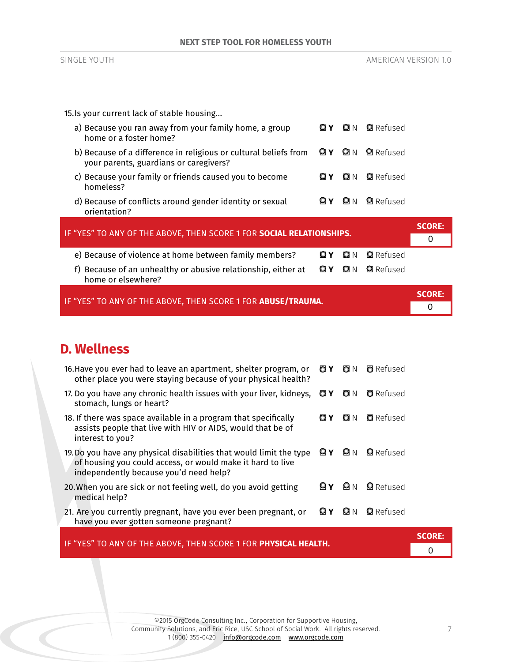15.Is your current lack of stable housing...

| a) Because you ran away from your family home, a group<br>home or a foster home?                           |       | O N           | <b>Q</b> Refused |               |
|------------------------------------------------------------------------------------------------------------|-------|---------------|------------------|---------------|
| b) Because of a difference in religious or cultural beliefs from<br>your parents, guardians or caregivers? |       | <b>ØY Ø</b> N | <b>Q</b> Refused |               |
| c) Because your family or friends caused you to become<br>homeless?                                        | Q Y   | O N           | <b>Q</b> Refused |               |
| d) Because of conflicts around gender identity or sexual<br>orientation?                                   |       | <b>PIN</b>    | <b>Q</b> Refused |               |
|                                                                                                            |       |               |                  | <b>SCORE:</b> |
| IF "YES" TO ANY OF THE ABOVE, THEN SCORE 1 FOR SOCIAL RELATIONSHIPS.                                       |       |               |                  | 0             |
| e) Because of violence at home between family members?                                                     | O Y . | O N           | <b>Q</b> Refused |               |
| f) Because of an unhealthy or abusive relationship, either at                                              | ØΥ    | O N           | <b>Q</b> Refused |               |

| home or elsewhere? |  |
|--------------------|--|
|--------------------|--|

| IF "YES" TO ANY OF THE ABOVE, THEN SCORE 1 FOR <b>ABUSE/TRAUMA.</b> | <b>SCORE:</b> |
|---------------------------------------------------------------------|---------------|
|                                                                     |               |

## **D. Wellness**

| IF "YES" TO ANY OF THE ABOVE, THEN SCORE 1 FOR PHYSICAL HEALTH.                                                                                                                              |                  | <b>SCORE:</b> |  |
|----------------------------------------------------------------------------------------------------------------------------------------------------------------------------------------------|------------------|---------------|--|
| <b>ØY Ø</b> N<br>21. Are you currently pregnant, have you ever been pregnant, or<br>have you ever gotten someone pregnant?                                                                   | <b>Q</b> Refused |               |  |
| 0Y 0N<br>20. When you are sick or not feeling well, do you avoid getting<br>medical help?                                                                                                    | <b>Q</b> Refused |               |  |
| <b>ØY Ø</b> N<br>19. Do you have any physical disabilities that would limit the type<br>of housing you could access, or would make it hard to live<br>independently because you'd need help? | <b>Q</b> Refused |               |  |
| 18. If there was space available in a program that specifically<br>O Y O<br>Q N<br>assists people that live with HIV or AIDS, would that be of<br>interest to you?                           | <b>Q</b> Refused |               |  |
| 17. Do you have any chronic health issues with your liver, kidneys, $Q \times Q$<br>stomach, lungs or heart?                                                                                 | <b>D</b> Refused |               |  |
| OY ON<br>16. Have you ever had to leave an apartment, shelter program, or<br>other place you were staying because of your physical health?                                                   | <b>O</b> Refused |               |  |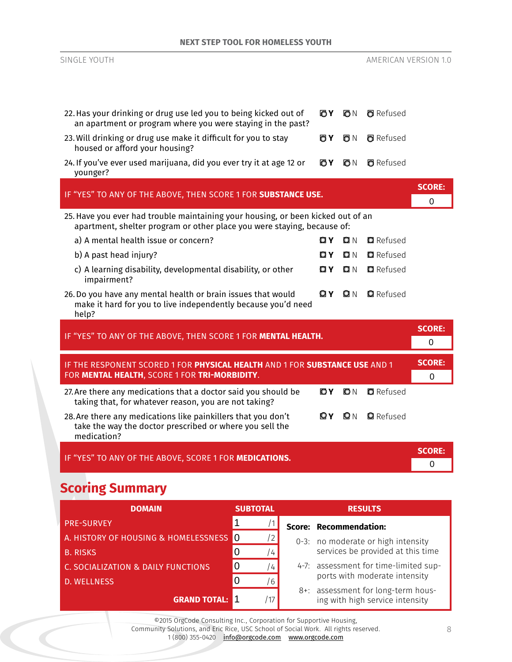| <b>NEXT STEP TOOL FOR HOMELESS YOUTH</b>                                                                                                                    |     |      |                      |                           |
|-------------------------------------------------------------------------------------------------------------------------------------------------------------|-----|------|----------------------|---------------------------|
| SINGLE YOUTH                                                                                                                                                |     |      | AMERICAN VERSION 1.0 |                           |
| 22. Has your drinking or drug use led you to being kicked out of<br>an apartment or program where you were staying in the past?                             | OΥ  | ON   | <b>O</b> Refused     |                           |
| 23. Will drinking or drug use make it difficult for you to stay<br>housed or afford your housing?                                                           | ΘY  | OΝ   | <b>a</b> Refused     |                           |
| 24. If you've ever used marijuana, did you ever try it at age 12 or<br>younger?                                                                             | OΥ  | ON   | <b>O</b> Refused     |                           |
| IF "YES" TO ANY OF THE ABOVE, THEN SCORE 1 FOR SUBSTANCE USE.                                                                                               |     |      |                      | <b>SCORE:</b><br>$\Omega$ |
| 25. Have you ever had trouble maintaining your housing, or been kicked out of an<br>apartment, shelter program or other place you were staying, because of: |     |      |                      |                           |
| a) A mental health issue or concern?                                                                                                                        | OΥ  | Q N  | <b>Q</b> Refused     |                           |
| b) A past head injury?                                                                                                                                      | OΥ  | OΝ   | <b>Q</b> Refused     |                           |
| c) A learning disability, developmental disability, or other<br>impairment?                                                                                 | OΥ  | Q N  | <b>Q</b> Refused     |                           |
| 26. Do you have any mental health or brain issues that would<br>make it hard for you to live independently because you'd need<br>help?                      | OΥ  | Q N  | <b>Q</b> Refused     |                           |
| IF "YES" TO ANY OF THE ABOVE, THEN SCORE 1 FOR MENTAL HEALTH.                                                                                               |     |      |                      | <b>SCORE:</b><br>$\Omega$ |
| IF THE RESPONENT SCORED 1 FOR PHYSICAL HEALTH AND 1 FOR SUBSTANCE USE AND 1<br>FOR MENTAL HEALTH, SCORE 1 FOR TRI-MORBIDITY.                                |     |      |                      | <b>SCORE:</b><br>0        |
| 27. Are there any medications that a doctor said you should be<br>taking that, for whatever reason, you are not taking?                                     | ЮY. | IO N | <b>D</b> Refused     |                           |
| 28. Are there any medications like painkillers that you don't<br>take the way the doctor prescribed or where you sell the<br>medication?                    | ΘY  | IQ N | <b>Q</b> Refused     |                           |
| IF "YES" TO ANY OF THE ABOVE, SCORE 1 FOR MEDICATIONS.                                                                                                      |     |      |                      | <b>SCORE:</b><br>0        |
| <b>Scoring Summary</b>                                                                                                                                      |     |      |                      |                           |

| <b>DOMAIN</b>                          | <b>SUBTOTAL</b> | <b>RESULTS</b> |                                                                       |  |  |
|----------------------------------------|-----------------|----------------|-----------------------------------------------------------------------|--|--|
| <b>PRE-SURVEY</b>                      |                 |                | Score: Recommendation:                                                |  |  |
| A. HISTORY OF HOUSING & HOMELESSNESS 0 | $\overline{2}$  |                | 0-3: no moderate or high intensity                                    |  |  |
| <b>B. RISKS</b>                        | $\overline{4}$  |                | services be provided at this time                                     |  |  |
| C. SOCIALIZATION & DAILY FUNCTIONS     | $\overline{4}$  |                | 4-7: assessment for time-limited sup-                                 |  |  |
| <b>D. WELLNESS</b>                     | 6               |                | ports with moderate intensity                                         |  |  |
| <b>GRAND TOTAL:</b>                    |                 |                | 8+: assessment for long-term hous-<br>ing with high service intensity |  |  |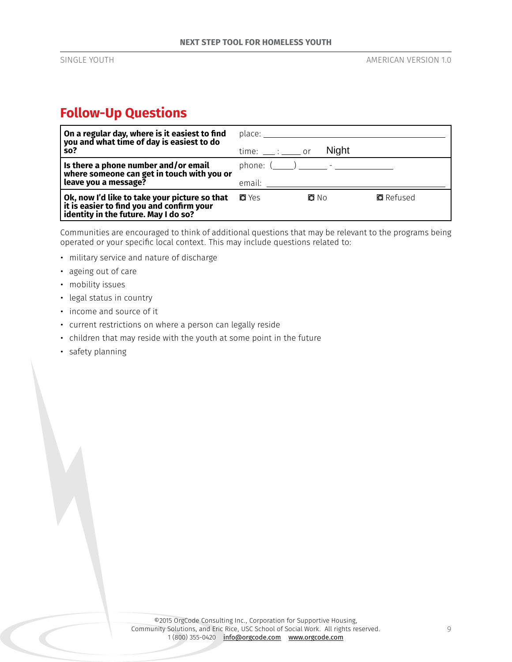## **Follow-Up Questions**

| $\vert$ On a regular day, where is it easiest to find<br>$\mid$ you and what time of day is easiest to do<br>so?                       | place: and the place of the place of the place of the place of the place of the place of the place of the place of the place of the place of the place of the place of the place of the place of the place of the place of the<br>$time:$ $\_\_\_\_\_\_\_\_\_\_$ or | <b>Night</b>     |
|----------------------------------------------------------------------------------------------------------------------------------------|---------------------------------------------------------------------------------------------------------------------------------------------------------------------------------------------------------------------------------------------------------------------|------------------|
| $\vert$ Is there a phone number and/or email<br>where someone can get in touch with you or<br>leave you a message?                     | phone: $($ $)$ $  -$<br>email: when the control of the control of the control of the control of the control of the control of the control of the control of the control of the control of the control of the control of the control of the control of               |                  |
| Ok, now I'd like to take your picture so that<br>  it is easier to find you and confirm your<br>  identity in the future. May I do so? | <b>o</b> Yes<br>O No                                                                                                                                                                                                                                                | <b>Q</b> Refused |

Communities are encouraged to think of additional questions that may be relevant to the programs being operated or your specific local context. This may include questions related to:

- military service and nature of discharge
- ageing out of care
- mobility issues
- legal status in country
- income and source of it
- current restrictions on where a person can legally reside
- children that may reside with the youth at some point in the future
- safety planning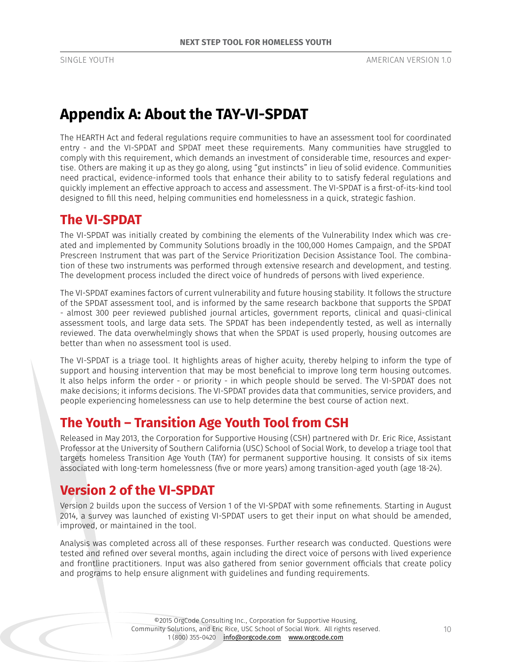# **Appendix A: About the TAY-VI-SPDAT**

The HEARTH Act and federal regulations require communities to have an assessment tool for coordinated entry - and the VI-SPDAT and SPDAT meet these requirements. Many communities have struggled to comply with this requirement, which demands an investment of considerable time, resources and expertise. Others are making it up as they go along, using "gut instincts" in lieu of solid evidence. Communities need practical, evidence-informed tools that enhance their ability to to satisfy federal regulations and quickly implement an effective approach to access and assessment. The VI-SPDAT is a first-of-its-kind tool designed to fill this need, helping communities end homelessness in a quick, strategic fashion.

## **The VI-SPDAT**

The VI-SPDAT was initially created by combining the elements of the Vulnerability Index which was created and implemented by Community Solutions broadly in the 100,000 Homes Campaign, and the SPDAT Prescreen Instrument that was part of the Service Prioritization Decision Assistance Tool. The combination of these two instruments was performed through extensive research and development, and testing. The development process included the direct voice of hundreds of persons with lived experience.

The VI-SPDAT examines factors of current vulnerability and future housing stability. It follows the structure of the SPDAT assessment tool, and is informed by the same research backbone that supports the SPDAT - almost 300 peer reviewed published journal articles, government reports, clinical and quasi-clinical assessment tools, and large data sets. The SPDAT has been independently tested, as well as internally reviewed. The data overwhelmingly shows that when the SPDAT is used properly, housing outcomes are better than when no assessment tool is used.

The VI-SPDAT is a triage tool. It highlights areas of higher acuity, thereby helping to inform the type of support and housing intervention that may be most beneficial to improve long term housing outcomes. It also helps inform the order - or priority - in which people should be served. The VI-SPDAT does not make decisions; it informs decisions. The VI-SPDAT provides data that communities, service providers, and people experiencing homelessness can use to help determine the best course of action next.

## **The Youth – Transition Age Youth Tool from CSH**

Released in May 2013, the Corporation for Supportive Housing (CSH) partnered with Dr. Eric Rice, Assistant Professor at the University of Southern California (USC) School of Social Work, to develop a triage tool that targets homeless Transition Age Youth (TAY) for permanent supportive housing. It consists of six items associated with long-term homelessness (five or more years) among transition-aged youth (age 18-24).

# **Version 2 of the VI-SPDAT**

Version 2 builds upon the success of Version 1 of the VI-SPDAT with some refinements. Starting in August 2014, a survey was launched of existing VI-SPDAT users to get their input on what should be amended, improved, or maintained in the tool.

Analysis was completed across all of these responses. Further research was conducted. Questions were tested and refined over several months, again including the direct voice of persons with lived experience and frontline practitioners. Input was also gathered from senior government officials that create policy and programs to help ensure alignment with guidelines and funding requirements.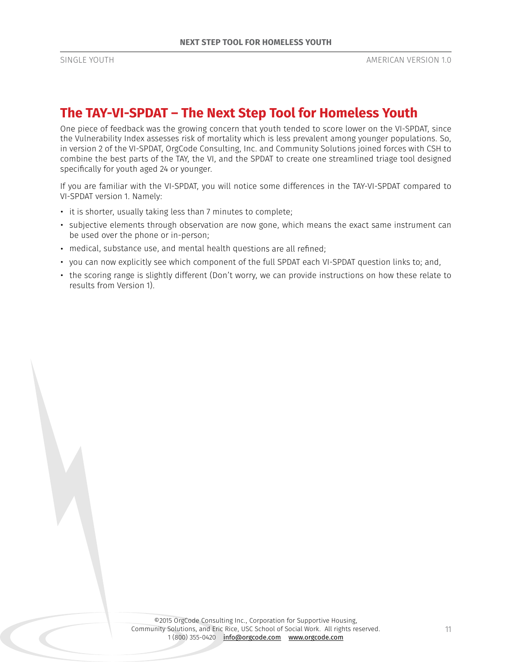## **The TAY-VI-SPDAT – The Next Step Tool for Homeless Youth**

One piece of feedback was the growing concern that youth tended to score lower on the VI-SPDAT, since the Vulnerability Index assesses risk of mortality which is less prevalent among younger populations. So, in version 2 of the VI-SPDAT, OrgCode Consulting, Inc. and Community Solutions joined forces with CSH to combine the best parts of the TAY, the VI, and the SPDAT to create one streamlined triage tool designed specifically for youth aged 24 or younger.

If you are familiar with the VI-SPDAT, you will notice some differences in the TAY-VI-SPDAT compared to VI-SPDAT version 1. Namely:

- it is shorter, usually taking less than 7 minutes to complete;
- subjective elements through observation are now gone, which means the exact same instrument can be used over the phone or in-person;
- medical, substance use, and mental health questions are all refined;
- you can now explicitly see which component of the full SPDAT each VI-SPDAT question links to; and,
- the scoring range is slightly different (Don't worry, we can provide instructions on how these relate to results from Version 1).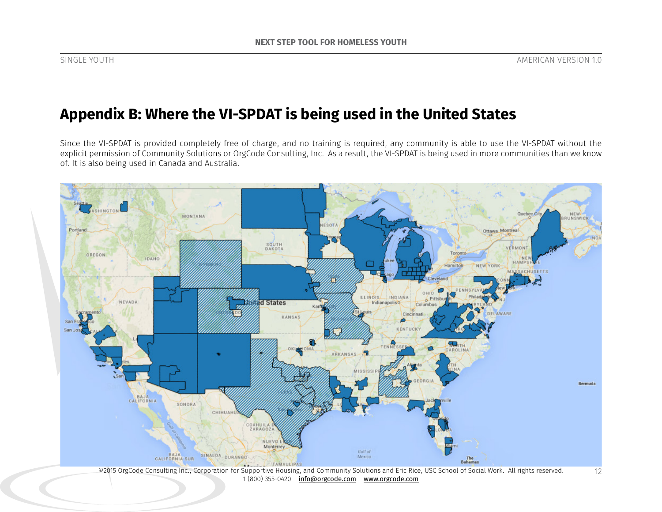# **Appendix B: Where the VI-SPDAT is being used in the United States**

Since the VI-SPDAT is provided completely free of charge, and no training is required, any community is able to use the VI-SPDAT without the explicit permission of Community Solutions or OrgCode Consulting, Inc. As a result, the VI-SPDAT is being used in more communities than we know of. It is also being used in Canada and Australia.



©2015 OrgCode Consulting Inc., Corporation for Supportive Housing, and Community Solutions and Eric Rice, USC School of Social Work. All rights reserved. 1 (800) 355-0420 info@orgcode.com www.orgcode.com